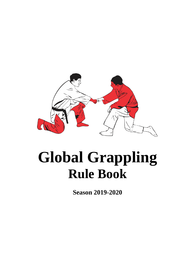

# **Global Grappling Rule Book**

**Season 2019-2020**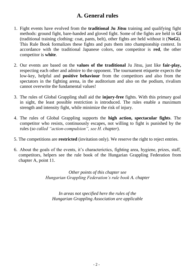# **A. General rules**

- 1. Fight events have evolved from the **traditional Ju Jitsu** training and qualifying fight methods: ground fight, bare-handed and gloved fight. Some of the fights are held in **Gi** (traditional training clothing: coat, pants, belt), other fights are held without it (**NoGi**). This Rule Book formalizes these fights and puts them into championship context. In accordance with the traditional Japanese colors, one competitor is **red**, the other competitor is **white**.
- 2. Our events are based on the **values of the traditional** Ju Jitsu, just like **fair-play,** respecting each other and admire to the opponent. The tournament etiquette expects the low-key, helpful and **positive behaviour** from the competitors and also from the spectators in the fighting arena, in the auditorium and also on the podium, rivalism cannot overwrite the fundamental values!
- 3. The rules of Global Grappling shall aid the **injury-free** fights. With this primary goal in sight, the least possible restriction is introduced. The rules enable a maximum strength and intensity fight, while minimize the risk of injury.
- 4. The rules of Global Grappling supports the **high action, spectacular fights**. The competitor who resists, continuously escapes, not willing to fight is punished by the rules (*so called "action-compulsion", see H. chapter*).
- 5. The competitions are **restricted** (invitation only). We reserve the right to reject entries.
- 6. About the goals of the events, it's characterictics, fighting area, hygiene, prizes, staff, competitors, helpers see the rule book of the Hungarian Grappling Federation from chapter A, point 11.

*Other points of this chapter see Hungarian Grappling Federation's rule book A. chapter*

*In areas not specified here the rules of the Hungarian Grappling Association are applicable*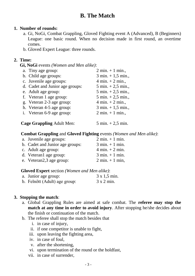## **B. The Match**

#### **1. Number of rounds:**

- a. Gi, NoGi, Combat Grappling, Gloved Fighting event A (Advanced), B (Beginners) League: one basic round. When no decision made in first round, an overtime comes.
- b. Gloved Expert League: three rounds.

#### **2. Time:**

**Gi, NoGi** events *(Women and Men alike)*:

| a. Tiny age group:               | $2 \text{ min.} + 1 \text{ min.}$    |
|----------------------------------|--------------------------------------|
| b. Child age groups:             | $3 \text{ min.} + 1,5 \text{ min.},$ |
| c. Juvenile age groups:          | $4 \text{ min.} + 2 \text{ min.}$    |
| d. Cadet and Junior age groups:  | $5 \text{ min.} + 2.5 \text{ min.}$  |
| e. Adult age group:              | $5 \text{ min.} + 2.5 \text{ min.}$  |
| f. Veteran 1 age group:          | $5 \text{ min.} + 2.5 \text{ min.}$  |
| g. Veteran 2-3 age group:        | $4 \text{ min.} + 2 \text{ min.}$    |
| h. Veteran 4-5 age group:        | $3 \text{ min.} + 1,5 \text{ min.}$  |
| i. Veteran 6-9 age group:        | $2 \text{ min.} + 1 \text{ min.}$    |
|                                  |                                      |
| <b>Cage Grappling Adult Men:</b> | $5 \text{ min.} + 2.5 \text{ min.}$  |

#### **Combat Grappling** and **Gloved Fighting** events *(Women and Men alike)*:

| a. Juvenile age groups:         | $2 \text{ min.} + 1 \text{ min.}$ |
|---------------------------------|-----------------------------------|
| b. Cadet and Junior age groups: | $3 \text{ min.} + 1 \text{ min.}$ |
| c. Adult age group:             | $4 \text{ min.} + 2 \text{ min.}$ |
| d. Veteran1 age group:          | $3 \text{ min.} + 1 \text{ min.}$ |
| e. Veteran2,3 age group:        | $2 \text{ min.} + 1 \text{ min.}$ |

#### **Gloved Expert** section *(Women and Men alike)*:

| a. Junior age group:          | $3 \times 1,5 \text{ min.}$ |
|-------------------------------|-----------------------------|
| b. Felnőtt (Adult) age group: | $3 \times 2$ min.           |

#### **3. Stopping the match**:

- a. Global Grappling Rules are aimed at safe combat. The **referee may stop the match at any time in order to avoid injury**. After stopping he/she decides about the finish or continuation of the match.
- b. The referee shall stop the match besides that
	- i. in case of injury,
	- ii. if one competitor is unable to fight,
	- iii. upon leaving the fighting area,
	- iv. in case of foul,
	- v. after the shortening,
	- vi. upon termination of the round or the holdfast,
	- vii. in case of surrender,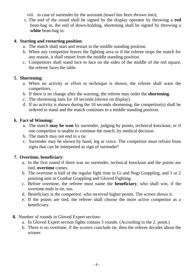viii. in case of surrender by the assistant *(towel has been thrown into)*,

c. The end of the round shall be signed by the display operator by throwing a **red** bean-bag in, the end of down-holding, shortening shall be signed by throwing a **white** bean-bag in.

#### **4. Starting and restarting position**:

- a. The match shall start and restart in the middle standing position.
- b. When any competitor leaves the fighting area or if the referee stops the match for any reason, it shall restart from the middle standing position.
- c. Competitors shall stand face to face on the sides of the middle of the red square, the referee faces the table.

## **5. Shortening**:

- a. When no activity or effort to technique is shown, the referee shall warn the competitors.
- b. If there is no change after the warning, the referee may order the **shortening**.
- c. The shortening lasts for 10 seconds (shown on display).
- d. If no activity is shown during the 10 seconds shortening, the competitor(s) shall be ordered to stand and the match continues in a middle standing position.

## **6. Fact of Winning:**

- a. The match **may be won** by surrender, judging by points, technical knockout, or if one competitor is unable to continue the match, by medical decision.
- b. The match may not end in a tie.
- c. Surrender may be shown by hand, leg or voice. The competitor must refrain from signs that can be interpreted as sign of surrender!

## **7. Overtime, beneficiary**:

- a. In the first round if there was no surrender, technical knockout and the points are tied, **overtime** comes.
- b. The overtime is half of the regular fight time in Gi and Nogi Grappling, and 1 or 2 pointing unit in Combat Grappling and Gloved Fighting.
- c. Before overtime, the referee must name the **beneficiary**, who shall win, if the overtime ends in tie, too.
- d. Beneficiary is the competitor, who received higher points. The screen shows it.
- e. If the points are tied, the referee shall choose the more active competitor as a beneficiary.
- **8.** Number of rounds in Gloved Expert section**:**
	- a. In Gloved Expert section fights contain 3 rounds. (According to the 2. point.)
	- b. There is no overtime, if the scorers conclude tie, then the referee decides about the winner.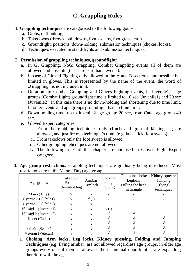# **C. Grappling Rules**

## **1. Grappling techniques** are categorised to the following goups:

- a. Grabs, outflanking,
- b. Takedowns (throws, pull downs, foot sweeps, foot grabs, etc.)
- c. Groundfight: positions, down-holding, submission techniques (chokes, locks),
- d. Techniques executed in stand-fights and submission techniques.

## 2. **Permission of grappling techniques, groundfight**:

- a. In Gi Grappling, NoGi Grappling, Combat Grappling events all of them are allowed and possible (these are bare-hand events).
- b. In case of Gloved Fighting only allowed in the A and B sections, and possible but limited in gloves. This is represented by the name of the event, the word of "Grappling" is not included in it.
- c. Duration: In Combat Grappling and Gloves Fighting events, in Juvenile1,2 age groups (Combat Light) groundfight time is limited to 10 sec (Juvenile1) and 20 sec (Juvenile2). In this case there is no down-holding and shortening due to time limit. In other events and age groups groundfight has no time limit.
- d. Down-holding time: up to Juvenile2 age group: 20 sec, from Cadet age group 40 sec.
- e. Gloved Expert categories:
	- i. From the grabbing techniques only **clinch** and grab of kicking leg are allowed, and just for one technique's time. (e.g. knee kick, foot sweep)
	- ii. From takedows only the foot sweep is allowed.
	- iii. Other grappling tehcniques are not allowed.
	- iv. The following rules of this chapter are not used in Gloved Fight Expert category.

|  | <b>3. Age group restrictions:</b> Grappling techniques are gradually being introduced. Most |  |  |  |  |
|--|---------------------------------------------------------------------------------------------|--|--|--|--|
|  | restrictions are in the Manó (Tiny) age group.                                              |  |  |  |  |

| Age groups             | Takedown<br>Position<br>Downholding | Armbar<br>Armlock | Choking<br>Triangle<br>Folding | Guillotine choke<br>Leglock,<br>Pulling the head<br>in triangle | Kidney squeeze<br>Jumping<br>(flying)<br>techniques |
|------------------------|-------------------------------------|-------------------|--------------------------------|-----------------------------------------------------------------|-----------------------------------------------------|
| Manó (Tiny)            |                                     |                   |                                |                                                                 |                                                     |
| Gyermek 1 (Child1)     |                                     | $\sqrt{(!)}$      |                                |                                                                 |                                                     |
| Gyermek 2 (Child2)     |                                     |                   |                                |                                                                 |                                                     |
| Ifjúsági 1 (Juvenile1) |                                     |                   | √ (!)                          |                                                                 |                                                     |
| Ifjúsági 2 (Juvenile2) |                                     |                   |                                |                                                                 |                                                     |
| Kadet (Cadet)          |                                     |                   |                                |                                                                 |                                                     |
| Junior                 |                                     |                   |                                |                                                                 |                                                     |
| Felnőtt (Senior)       |                                     |                   |                                |                                                                 |                                                     |
| Veterán (Veteran)      |                                     |                   |                                |                                                                 |                                                     |

a. **Choking, Arm locks, Leg locks, Kidney pressing, Folding and Jumping Techniques** (e.g. flying armbar) are not allowed regardless age groups, in elder age groups every one of them is allowed, the techniqual opportunities are expanding therefore with the age.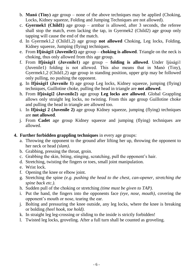- b. **Manó (Tiny)** age group none of the above techniques may be applied (Choking, Locks, Kidney squeeze, Folding and Jumping Techniques are not allowed).
- c. **Gyermek1 (Child1)** age group armbar is allowed, after 3 seconds, the referee shall stop the match, even lacking the tap, in Gyermek2 (Child2) age group only tapping will cause the end of the match.
- d. In Gyermek1,2 (Child1,2) age group **not allowed** Choking, Leg locks, Folding, Kidney squeeze, Jumping (flying) techniques.
- e. From **Ifjúsági1 (Juvenile1)** age group **choking is allowed**. Triangle on the neck is choking, thus only allowed from this age group.
- f. From **Ifjúsági1 (Juvenile1)** age group **folding is allowed**. Under Ijúsági1 (Juvenile1) folding is not allowed. This also means that in Manó (Tiny), Gyermek1,2 (Child1,2) age group in standing position, upper grip may be followed only pulling, no pushing the opponent.
- g. In **Ifjúsági1 (Juvenile 1)** age group Leg locks, Kidney squeeze, jumping (flying) techniques, Guillotine choke, pulling the head in triangle are **not allowed**.
- h. From **Ifjúsági2 (Juvenile2)** age group **Leg locks are allowed**. Global Grappling allows only straight leg locks, no twisting. From this age group Guillotine choke and pulling the head in triangle are allowed too.
- i. In **Ifjúsági 2 (Juvenile 2)** age group Kidney squeeze, jumping (flying) techniques are **not allowed**.
- j. From **Cadet** age group Kidney squeeze and jumping (flying) techniques are allowed.

## **4. Further forbidden grappling techniques** in every age groups:

- a. Throwing the opponent to the ground after lifting her up, throwing the opponent to her neck or head *(slam)*.
- b. Grabbing, pressing the throat, groin.
- c. Grabbing the skin, biting, stinging, scratching, pull the opponent's hair.
- d. Stretching, twisting the fingers or toes, small joint manipulation.
- e. Wrist lock.
- f. Opening the knee or elbow joint.
- g. Stretching the spine *(e.g. pushing the head to the chest, can-opener, stretching the spine back etc.).*
- h. Sudden pull of the choking or stretching *(time must be given to TAP).*
- i. Put the hand, the fingers into the opponents face *(eye, nose, mouth)*, covering the opponent's mouth or nose, tearing the ear.
- j. Bolting and pressuring the knee outside, any leg locks, where the knee is breaking or bolding *(heel hook, toe hold).*
- k. In straight leg leg-crossing or sliding to the inside is strictly forbidden!
- l. Twisted leg locks, groveling. After a full turn shall be counted as groveling.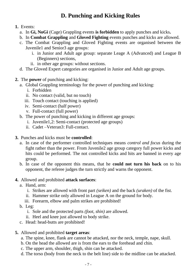# **D. Punching and Kicking Rules**

- **1.** Events:
	- a. In **Gi, NoGi** (Cage) Grappling events **is forbidden** to apply punches and kicks**.**
	- b. In **Combat Grappling** and **Gloved Fighting** events punches and kicks are allowed.
	- c. The Combat Grappling and Gloved Fighting events are organised between the Juvenile1 and Senior3 age groups:
		- i. in Junior and Adult age group: separate Leage A (Advanced) and League B (Beginners) sections,
		- ii. in other age groups: without sections.
	- d. The Gloved Expert categories are organised in Junior and Adult age groups.
- **2.** The **power** of punching and kicking:
	- a. Global Grappling terminology for the power of punching and kicking:
		- i. Forbidden
		- ii. No contact (valid, but no touch)
		- iii. Touch contact (touching is applied)
		- iv. Semi-contact (half power)
		- v. Full-contact (full power)
	- b. The power of punching and kicking in different age groups:
		- i. Juvenile1,2: Semi-contact (protected age groups)
		- ii. Cadet –Veteran3: Full-contact.
- **3.** Punches and kicks must be **controlled**:
	- a. In case of the performer controlled techniques means *control and focus* during the fight rather than the power. From Juvenile2 age group category full power kicks and hits could be performed. The not controlled kicks and hits are banned in every age group.
	- b. In case of the opponent this means, that he **could not turn his back** on to his opponent, the referee judges the turn strictly and warns the opponent.

#### **4.** Allowed and prohibited **attack surfaces**:

- a. Hand, arm:
	- i. Strikes are allowed with front part *(seiken)* and the back *(uraken)* of the fist.
	- ii. Hammer strike only allowed in League A on the ground for body.
	- iii. Forearm, elbow and palm strikes are prohibited!
- b. Leg:
	- i. Sole and the protected parts *(foot, shin)* are allowed.
	- ii. Heel and knee just allowed to body strike.
- c. Head: head-butts are prohibited!
- **5.** Allowed and prohibited **target areas**:
	- a. The spine, knee, flank are cannot be attacked, nor the neck, temple, nape, skull.
	- b. On the head the allowed are is from the ears to the forehead and chin.
	- c. The upper arm, shoulder, thigh, shin can be attacked.
	- d. The torso (body from the neck to the belt line) side to the midline can be attacked.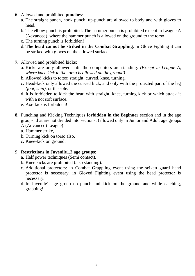- **6.** Allowed and prohibited **punches**:
	- a. The straight punch, hook punch, up-punch are allowed to body and with gloves to head.
	- b. The elbow punch is prohibited. The hammer punch is prohibited except in League A (Advanced), where the hammer punch is allowed on the ground to the torso.
	- c. The turning punch is forbidden!
	- d. **The head cannot be striked in the Combat Grappling**, in Glove Fighting it can be striked with gloves on the allowed surface.
- **7.** Allowed and prohibited **kicks**:
	- a. Kicks are only allowed until the competitors are standing. *(Except in League A, where knee kick to the torso is allowed on the ground)*.
	- b. Allowed kicks to torso: straight, curved, knee, turning.
	- c. Head-kick only allowed the curved kick, and only with the protected part of the leg *(foot, shin)*, or the sole.
	- d. It is forbidden to kick the head with straight, knee, turning kick or which attack it with a not soft surface.
	- e. Axe-kick is forbidden!
- **8.** Punching and Kicking Techniques **forbidden in the Beginner** section and in the age groups, that are not divided into sections: (allowed only in Junior and Adult age groups A (Advanced) League)
	- a. Hammer strike,
	- b. Turning kick on torso also,
	- c. Knee-kick on ground.

#### 9. **Restrictions in Juvenile1,2 age groups**:

- a. Half power techniques (Semi contact).
- b. Knee kicks are prohibited (also standing).
- c. Additional protectors: in Combat Grappling event using the seiken guard hand protector is necessary, in Gloved Fighting event using the head protector is necessary.
- d. In Juvenile1 age group no punch and kick on the ground and while catching, grabbing!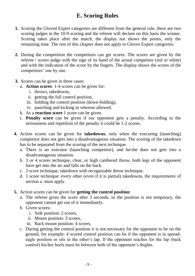# **E. Scoring Rules**

- **1.** Scoring the Gloved Expert categories are different from the general rule, there are two scoring judges in the 10-9 scoring and the referee will declare on this basis the winner. Scoring takes place after the match, the display not shows the points, only the remaining time. The rest of this chapter does not apply to Gloves Expert categories.
- **2.** During the competition the competitors can get scores. The scores are given by the referee / scorer judge with the sign of its hand of the actual competitor (red or white) and with the indication of the score by the fingers. The display shows the scores of the competitors' one by one.
- **3.** Scores can be given in three cases:
	- a. **Action scores**: 1-4 scores can be given for:
		- i. throws, takedowns,
		- ii. getting the full control position,
		- iii. holding the control position (down-holding),
		- iv. punching and kicking in whereas allowed.
	- b. As a **reaction score** 1 score can be given.
	- c. **Penalty score** can be given if our opponent gets a penalty. According to the seriousness and repetition of the penalty it could be 1-2 scores.
- **4.** Action scores can be given for **takedowns**, only when the executing (launching) competitor does not gets into a [disadvantageous](http://szotar.sztaki.hu/search?searchWord=disadvantageous&fromlang=eng&tolang=hun&outLanguage=hun) situation. The scoring of the takedown has to be separated from the scoring of the next technique.
	- a. There is an executor (launching competitor), and he/she does not gets into a [disadvantageous](http://szotar.sztaki.hu/search?searchWord=disadvantageous&fromlang=eng&tolang=hun&outLanguage=hun) situation.
	- b. 3 or 4 scores technique, clear, or high cambered throw, both legs of the opponent have get into the air and falls on the back.
	- c. 2 score technique, takedown with recognizable throw technique.
	- d. 1 score technique: every other (even if it is partial) takedowns, the requirements of section a. must apply.
- **5.** Action scores can be given for **getting the control position**:
	- a. The referee gives the score after 3 seconds, so the position is not temporary, the opponent cannot get out of it immediately.
	- b. Given scores:
		- i. Side position: 2 scores,
		- ii. Mount position: 3 scores,
		- iii. Back mount position: 4 scores,
	- c. During getting the control position it is not necessary for the opponent to be on the ground, for example: 4 scored control position can be if the opponent is in spreadeagle position or sits in the other's lap. If the opponent reaches for the lap (back control) his/her heels must be between both of the opponent's thights.